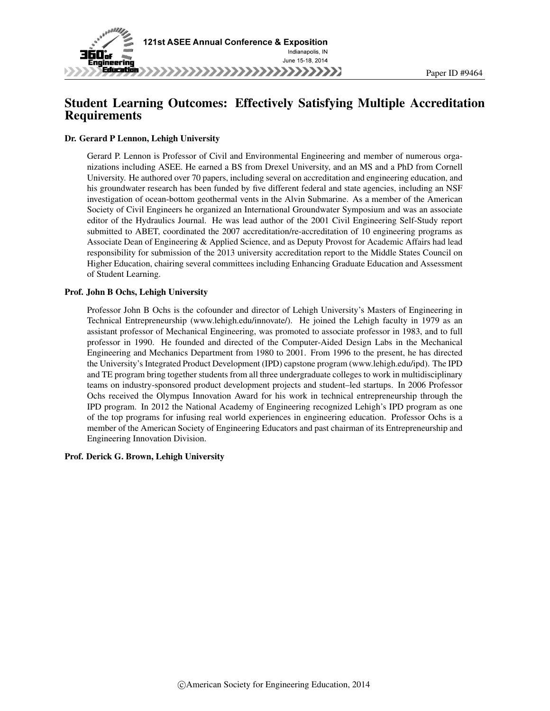

# Student Learning Outcomes: Effectively Satisfying Multiple Accreditation Requirements

#### Dr. Gerard P Lennon, Lehigh University

Gerard P. Lennon is Professor of Civil and Environmental Engineering and member of numerous organizations including ASEE. He earned a BS from Drexel University, and an MS and a PhD from Cornell University. He authored over 70 papers, including several on accreditation and engineering education, and his groundwater research has been funded by five different federal and state agencies, including an NSF investigation of ocean-bottom geothermal vents in the Alvin Submarine. As a member of the American Society of Civil Engineers he organized an International Groundwater Symposium and was an associate editor of the Hydraulics Journal. He was lead author of the 2001 Civil Engineering Self-Study report submitted to ABET, coordinated the 2007 accreditation/re-accreditation of 10 engineering programs as Associate Dean of Engineering & Applied Science, and as Deputy Provost for Academic Affairs had lead responsibility for submission of the 2013 university accreditation report to the Middle States Council on Higher Education, chairing several committees including Enhancing Graduate Education and Assessment of Student Learning.

#### Prof. John B Ochs, Lehigh University

Professor John B Ochs is the cofounder and director of Lehigh University's Masters of Engineering in Technical Entrepreneurship (www.lehigh.edu/innovate/). He joined the Lehigh faculty in 1979 as an assistant professor of Mechanical Engineering, was promoted to associate professor in 1983, and to full professor in 1990. He founded and directed of the Computer-Aided Design Labs in the Mechanical Engineering and Mechanics Department from 1980 to 2001. From 1996 to the present, he has directed the University's Integrated Product Development (IPD) capstone program (www.lehigh.edu/ipd). The IPD and TE program bring together students from all three undergraduate colleges to work in multidisciplinary teams on industry-sponsored product development projects and student–led startups. In 2006 Professor Ochs received the Olympus Innovation Award for his work in technical entrepreneurship through the IPD program. In 2012 the National Academy of Engineering recognized Lehigh's IPD program as one of the top programs for infusing real world experiences in engineering education. Professor Ochs is a member of the American Society of Engineering Educators and past chairman of its Entrepreneurship and Engineering Innovation Division.

#### Prof. Derick G. Brown, Lehigh University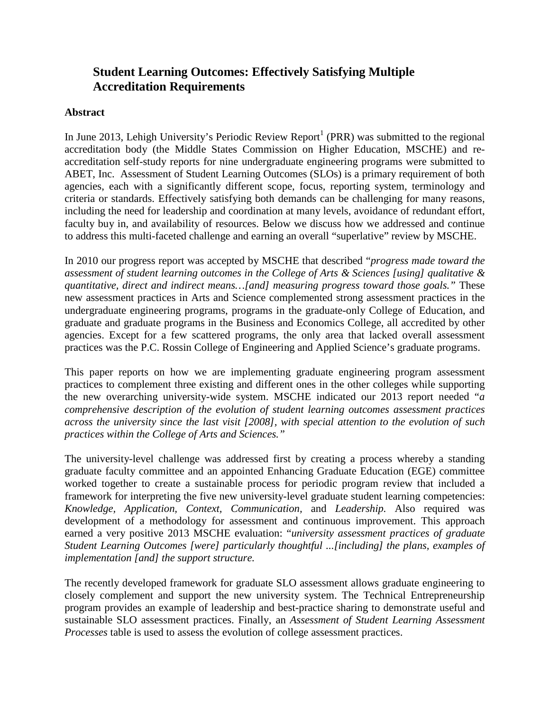# **Student Learning Outcomes: Effectively Satisfying Multiple Accreditation Requirements**

#### **Abstract**

In June 2013, Lehigh University's Periodic Review Report<sup>1</sup> (PRR) was submitted to the regional accreditation body (the Middle States Commission on Higher Education, MSCHE) and reaccreditation self-study reports for nine undergraduate engineering programs were submitted to ABET, Inc. Assessment of Student Learning Outcomes (SLOs) is a primary requirement of both agencies, each with a significantly different scope, focus, reporting system, terminology and criteria or standards. Effectively satisfying both demands can be challenging for many reasons, including the need for leadership and coordination at many levels, avoidance of redundant effort, faculty buy in, and availability of resources. Below we discuss how we addressed and continue to address this multi-faceted challenge and earning an overall "superlative" review by MSCHE.

In 2010 our progress report was accepted by MSCHE that described "*progress made toward the assessment of student learning outcomes in the College of Arts & Sciences [using] qualitative & quantitative, direct and indirect means…[and] measuring progress toward those goals."* These new assessment practices in Arts and Science complemented strong assessment practices in the undergraduate engineering programs, programs in the graduate-only College of Education, and graduate and graduate programs in the Business and Economics College, all accredited by other agencies. Except for a few scattered programs, the only area that lacked overall assessment practices was the P.C. Rossin College of Engineering and Applied Science's graduate programs.

This paper reports on how we are implementing graduate engineering program assessment practices to complement three existing and different ones in the other colleges while supporting the new overarching university-wide system. MSCHE indicated our 2013 report needed "*a comprehensive description of the evolution of student learning outcomes assessment practices across the university since the last visit [2008], with special attention to the evolution of such practices within the College of Arts and Sciences."* 

The university-level challenge was addressed first by creating a process whereby a standing graduate faculty committee and an appointed Enhancing Graduate Education (EGE) committee worked together to create a sustainable process for periodic program review that included a framework for interpreting the five new university-level graduate student learning competencies: *Knowledge, Application, Context, Communication,* and *Leadership.* Also required was development of a methodology for assessment and continuous improvement. This approach earned a very positive 2013 MSCHE evaluation: "*university assessment practices of graduate Student Learning Outcomes [were] particularly thoughtful ...[including] the plans, examples of implementation [and] the support structure.*

The recently developed framework for graduate SLO assessment allows graduate engineering to closely complement and support the new university system. The Technical Entrepreneurship program provides an example of leadership and best-practice sharing to demonstrate useful and sustainable SLO assessment practices. Finally, an *Assessment of Student Learning Assessment Processes* table is used to assess the evolution of college assessment practices.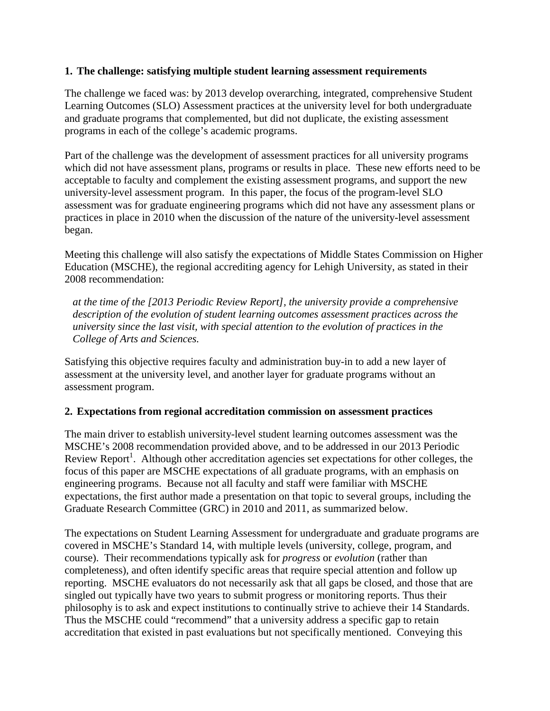#### **1. The challenge: satisfying multiple student learning assessment requirements**

The challenge we faced was: by 2013 develop overarching, integrated, comprehensive Student Learning Outcomes (SLO) Assessment practices at the university level for both undergraduate and graduate programs that complemented, but did not duplicate, the existing assessment programs in each of the college's academic programs.

Part of the challenge was the development of assessment practices for all university programs which did not have assessment plans, programs or results in place. These new efforts need to be acceptable to faculty and complement the existing assessment programs, and support the new university-level assessment program. In this paper, the focus of the program-level SLO assessment was for graduate engineering programs which did not have any assessment plans or practices in place in 2010 when the discussion of the nature of the university-level assessment began.

Meeting this challenge will also satisfy the expectations of Middle States Commission on Higher Education (MSCHE), the regional accrediting agency for Lehigh University, as stated in their 2008 recommendation:

*at the time of the [2013 Periodic Review Report], the university provide a comprehensive description of the evolution of student learning outcomes assessment practices across the university since the last visit, with special attention to the evolution of practices in the College of Arts and Sciences.*

Satisfying this objective requires faculty and administration buy-in to add a new layer of assessment at the university level, and another layer for graduate programs without an assessment program.

## **2. Expectations from regional accreditation commission on assessment practices**

The main driver to establish university-level student learning outcomes assessment was the MSCHE's 2008 recommendation provided above, and to be addressed in our 2013 Periodic Review Report<sup>1</sup>. Although other accreditation agencies set expectations for other colleges, the focus of this paper are MSCHE expectations of all graduate programs, with an emphasis on engineering programs. Because not all faculty and staff were familiar with MSCHE expectations, the first author made a presentation on that topic to several groups, including the Graduate Research Committee (GRC) in 2010 and 2011, as summarized below.

The expectations on Student Learning Assessment for undergraduate and graduate programs are covered in MSCHE's Standard 14, with multiple levels (university, college, program, and course). Their recommendations typically ask for *progress* or *evolution* (rather than completeness), and often identify specific areas that require special attention and follow up reporting. MSCHE evaluators do not necessarily ask that all gaps be closed, and those that are singled out typically have two years to submit progress or monitoring reports. Thus their philosophy is to ask and expect institutions to continually strive to achieve their 14 Standards. Thus the MSCHE could "recommend" that a university address a specific gap to retain accreditation that existed in past evaluations but not specifically mentioned. Conveying this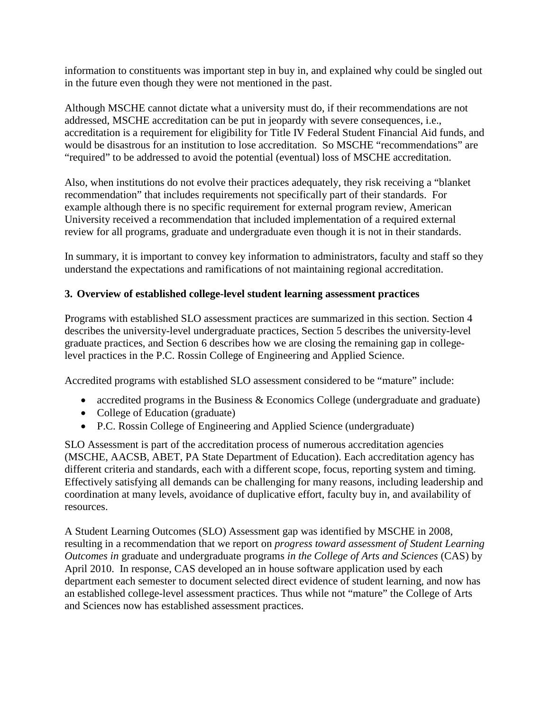information to constituents was important step in buy in, and explained why could be singled out in the future even though they were not mentioned in the past.

Although MSCHE cannot dictate what a university must do, if their recommendations are not addressed, MSCHE accreditation can be put in jeopardy with severe consequences, i.e., accreditation is a requirement for eligibility for Title IV Federal Student Financial Aid funds, and would be disastrous for an institution to lose accreditation. So MSCHE "recommendations" are "required" to be addressed to avoid the potential (eventual) loss of MSCHE accreditation.

Also, when institutions do not evolve their practices adequately, they risk receiving a "blanket recommendation" that includes requirements not specifically part of their standards. For example although there is no specific requirement for external program review, American University received a recommendation that included implementation of a required external review for all programs, graduate and undergraduate even though it is not in their standards.

In summary, it is important to convey key information to administrators, faculty and staff so they understand the expectations and ramifications of not maintaining regional accreditation.

# **3. Overview of established college-level student learning assessment practices**

Programs with established SLO assessment practices are summarized in this section. Section 4 describes the university-level undergraduate practices, Section 5 describes the university-level graduate practices, and Section 6 describes how we are closing the remaining gap in collegelevel practices in the P.C. Rossin College of Engineering and Applied Science.

Accredited programs with established SLO assessment considered to be "mature" include:

- accredited programs in the Business & Economics College (undergraduate and graduate)
- College of Education (graduate)
- P.C. Rossin College of Engineering and Applied Science (undergraduate)

SLO Assessment is part of the accreditation process of numerous accreditation agencies (MSCHE, AACSB, ABET, PA State Department of Education). Each accreditation agency has different criteria and standards, each with a different scope, focus, reporting system and timing. Effectively satisfying all demands can be challenging for many reasons, including leadership and coordination at many levels, avoidance of duplicative effort, faculty buy in, and availability of resources.

A Student Learning Outcomes (SLO) Assessment gap was identified by MSCHE in 2008, resulting in a recommendation that we report on *progress toward assessment of Student Learning Outcomes in* graduate and undergraduate programs *in the College of Arts and Sciences* (CAS) by April 2010. In response, CAS developed an in house software application used by each department each semester to document selected direct evidence of student learning, and now has an established college-level assessment practices. Thus while not "mature" the College of Arts and Sciences now has established assessment practices.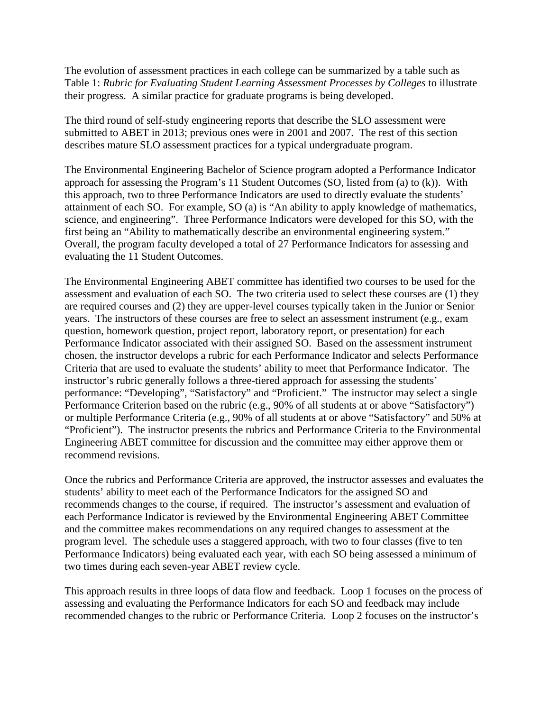The evolution of assessment practices in each college can be summarized by a table such as Table 1: *Rubric for Evaluating Student Learning Assessment Processes by Colleges* to illustrate their progress. A similar practice for graduate programs is being developed.

The third round of self-study engineering reports that describe the SLO assessment were submitted to ABET in 2013; previous ones were in 2001 and 2007. The rest of this section describes mature SLO assessment practices for a typical undergraduate program.

The Environmental Engineering Bachelor of Science program adopted a Performance Indicator approach for assessing the Program's 11 Student Outcomes (SO, listed from (a) to (k)). With this approach, two to three Performance Indicators are used to directly evaluate the students' attainment of each SO. For example, SO (a) is "An ability to apply knowledge of mathematics, science, and engineering". Three Performance Indicators were developed for this SO, with the first being an "Ability to mathematically describe an environmental engineering system." Overall, the program faculty developed a total of 27 Performance Indicators for assessing and evaluating the 11 Student Outcomes.

The Environmental Engineering ABET committee has identified two courses to be used for the assessment and evaluation of each SO. The two criteria used to select these courses are (1) they are required courses and (2) they are upper-level courses typically taken in the Junior or Senior years. The instructors of these courses are free to select an assessment instrument (e.g., exam question, homework question, project report, laboratory report, or presentation) for each Performance Indicator associated with their assigned SO. Based on the assessment instrument chosen, the instructor develops a rubric for each Performance Indicator and selects Performance Criteria that are used to evaluate the students' ability to meet that Performance Indicator. The instructor's rubric generally follows a three-tiered approach for assessing the students' performance: "Developing", "Satisfactory" and "Proficient." The instructor may select a single Performance Criterion based on the rubric (e.g., 90% of all students at or above "Satisfactory") or multiple Performance Criteria (e.g., 90% of all students at or above "Satisfactory" and 50% at "Proficient"). The instructor presents the rubrics and Performance Criteria to the Environmental Engineering ABET committee for discussion and the committee may either approve them or recommend revisions.

Once the rubrics and Performance Criteria are approved, the instructor assesses and evaluates the students' ability to meet each of the Performance Indicators for the assigned SO and recommends changes to the course, if required. The instructor's assessment and evaluation of each Performance Indicator is reviewed by the Environmental Engineering ABET Committee and the committee makes recommendations on any required changes to assessment at the program level. The schedule uses a staggered approach, with two to four classes (five to ten Performance Indicators) being evaluated each year, with each SO being assessed a minimum of two times during each seven-year ABET review cycle.

This approach results in three loops of data flow and feedback. Loop 1 focuses on the process of assessing and evaluating the Performance Indicators for each SO and feedback may include recommended changes to the rubric or Performance Criteria. Loop 2 focuses on the instructor's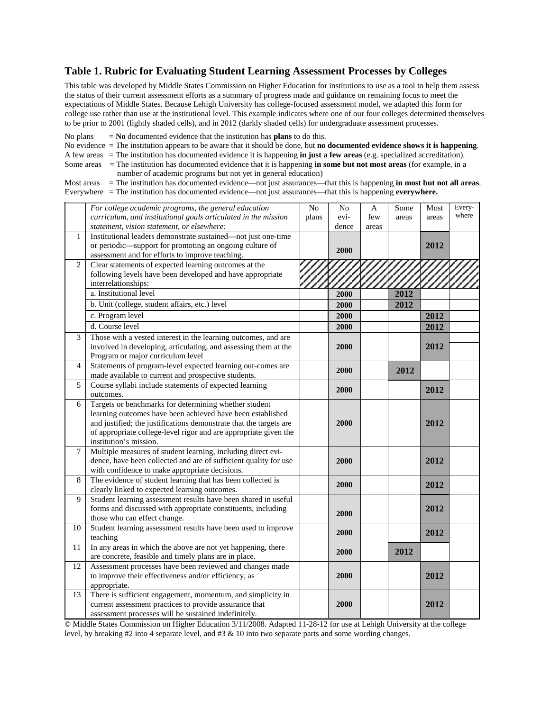#### **Table 1. Rubric for Evaluating Student Learning Assessment Processes by Colleges**

This table was developed by Middle States Commission on Higher Education for institutions to use as a tool to help them assess the status of their current assessment efforts as a summary of progress made and guidance on remaining focus to meet the expectations of Middle States. Because Lehigh University has college-focused assessment model, we adapted this form for college use rather than use at the institutional level. This example indicates where one of our four colleges determined themselves to be prior to 2001 (lightly shaded cells), and in 2012 (darkly shaded cells) for undergraduate assessment processes.

No plans  $=$  **No** documented evidence that the institution has **plans** to do this.

No evidence = The institution appears to be aware that it should be done, but **no documented evidence shows it is happening**.

A few areas = The institution has documented evidence it is happening **in just a few areas** (e.g. specialized accreditation).

Some areas = The institution has documented evidence that it is happening **in some but not most areas** (for example, in a number of academic programs but not yet in general education)

Most areas = The institution has documented evidence—not just assurances—that this is happening **in most but not all areas**. Everywhere = The institution has documented evidence—not just assurances—that this is happening **everywhere.**

|                | For college academic programs, the general education               | N <sub>0</sub> | No    | A     | Some  | Most  | Every- |
|----------------|--------------------------------------------------------------------|----------------|-------|-------|-------|-------|--------|
|                | curriculum, and institutional goals articulated in the mission     | plans          | evi-  | few   | areas | areas | where  |
|                | statement, vision statement, or elsewhere:                         |                | dence | areas |       |       |        |
| 1              | Institutional leaders demonstrate sustained-not just one-time      |                |       |       |       |       |        |
|                | or periodic—support for promoting an ongoing culture of            |                | 2000  |       |       | 2012  |        |
|                | assessment and for efforts to improve teaching.                    |                |       |       |       |       |        |
| $\overline{2}$ | Clear statements of expected learning outcomes at the              |                |       |       |       |       |        |
|                | following levels have been developed and have appropriate          |                |       |       |       |       |        |
|                | interrelationships:                                                |                |       |       |       |       |        |
|                | a. Institutional level                                             |                | 2000  |       | 2012  |       |        |
|                | b. Unit (college, student affairs, etc.) level                     |                | 2000  |       | 2012  |       |        |
|                | c. Program level                                                   |                | 2000  |       |       | 2012  |        |
|                | d. Course level                                                    |                | 2000  |       |       | 2012  |        |
| 3              | Those with a vested interest in the learning outcomes, and are     |                |       |       |       |       |        |
|                | involved in developing, articulating, and assessing them at the    |                | 2000  |       |       | 2012  |        |
|                | Program or major curriculum level                                  |                |       |       |       |       |        |
| $\overline{4}$ | Statements of program-level expected learning out-comes are        |                |       |       |       |       |        |
|                | made available to current and prospective students.                |                | 2000  |       | 2012  |       |        |
| 5              | Course syllabi include statements of expected learning             |                |       |       |       |       |        |
|                | outcomes.                                                          |                | 2000  |       |       | 2012  |        |
| 6              | Targets or benchmarks for determining whether student              |                |       |       |       |       |        |
|                | learning outcomes have been achieved have been established         |                |       |       |       |       |        |
|                | and justified; the justifications demonstrate that the targets are |                | 2000  |       |       | 2012  |        |
|                | of appropriate college-level rigor and are appropriate given the   |                |       |       |       |       |        |
|                | institution's mission.                                             |                |       |       |       |       |        |
| 7              | Multiple measures of student learning, including direct evi-       |                |       |       |       |       |        |
|                | dence, have been collected and are of sufficient quality for use   |                | 2000  |       |       | 2012  |        |
|                | with confidence to make appropriate decisions.                     |                |       |       |       |       |        |
| 8              | The evidence of student learning that has been collected is        |                | 2000  |       |       | 2012  |        |
|                | clearly linked to expected learning outcomes.                      |                |       |       |       |       |        |
| 9              | Student learning assessment results have been shared in useful     |                |       |       |       |       |        |
|                | forms and discussed with appropriate constituents, including       |                | 2000  |       |       | 2012  |        |
|                | those who can effect change.                                       |                |       |       |       |       |        |
| 10             | Student learning assessment results have been used to improve      |                | 2000  |       |       | 2012  |        |
|                | teaching                                                           |                |       |       |       |       |        |
| 11             | In any areas in which the above are not yet happening, there       |                | 2000  |       | 2012  |       |        |
|                | are concrete, feasible and timely plans are in place.              |                |       |       |       |       |        |
| 12             | Assessment processes have been reviewed and changes made           |                |       |       |       |       |        |
|                | to improve their effectiveness and/or efficiency, as               |                | 2000  |       |       | 2012  |        |
|                | appropriate.                                                       |                |       |       |       |       |        |
| 13             | There is sufficient engagement, momentum, and simplicity in        |                |       |       |       |       |        |
|                | current assessment practices to provide assurance that             |                | 2000  |       |       | 2012  |        |
|                | assessment processes will be sustained indefinitely.               |                |       |       |       |       |        |

© Middle States Commission on Higher Education 3/11/2008. Adapted 11-28-12 for use at Lehigh University at the college level, by breaking #2 into 4 separate level, and #3 & 10 into two separate parts and some wording changes.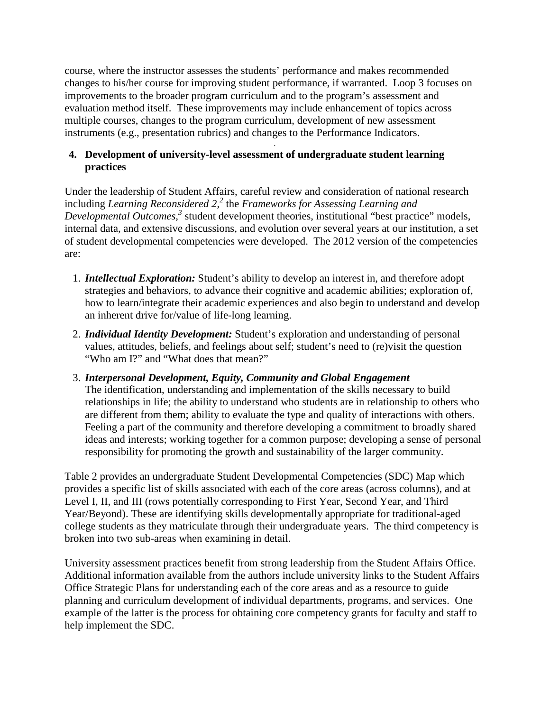course, where the instructor assesses the students' performance and makes recommended changes to his/her course for improving student performance, if warranted. Loop 3 focuses on improvements to the broader program curriculum and to the program's assessment and evaluation method itself. These improvements may include enhancement of topics across multiple courses, changes to the program curriculum, development of new assessment instruments (e.g., presentation rubrics) and changes to the Performance Indicators.

#### . **4. Development of university-level assessment of undergraduate student learning practices**

Under the leadership of Student Affairs, careful review and consideration of national research including *Learning Reconsidered 2, <sup>2</sup>* the *Frameworks for Assessing Learning and Developmental Outcomes, <sup>3</sup>* student development theories, institutional "best practice" models, internal data, and extensive discussions, and evolution over several years at our institution, a set of student developmental competencies were developed. The 2012 version of the competencies are:

- 1. *Intellectual Exploration:* Student's ability to develop an interest in, and therefore adopt strategies and behaviors, to advance their cognitive and academic abilities; exploration of, how to learn/integrate their academic experiences and also begin to understand and develop an inherent drive for/value of life-long learning.
- 2. *Individual Identity Development:* Student's exploration and understanding of personal values, attitudes, beliefs, and feelings about self; student's need to (re)visit the question "Who am I?" and "What does that mean?"
- 3. *Interpersonal Development, Equity, Community and Global Engagement*  The identification, understanding and implementation of the skills necessary to build relationships in life; the ability to understand who students are in relationship to others who are different from them; ability to evaluate the type and quality of interactions with others. Feeling a part of the community and therefore developing a commitment to broadly shared ideas and interests; working together for a common purpose; developing a sense of personal responsibility for promoting the growth and sustainability of the larger community.

Table 2 provides an undergraduate Student Developmental Competencies (SDC) Map which provides a specific list of skills associated with each of the core areas (across columns), and at Level I, II, and III (rows potentially corresponding to First Year, Second Year, and Third Year/Beyond). These are identifying skills developmentally appropriate for traditional-aged college students as they matriculate through their undergraduate years. The third competency is broken into two sub-areas when examining in detail.

University assessment practices benefit from strong leadership from the Student Affairs Office. Additional information available from the authors include university links to the Student Affairs Office Strategic Plans for understanding each of the core areas and as a resource to guide planning and curriculum development of individual departments, programs, and services. One example of the latter is the process for obtaining core competency grants for faculty and staff to help implement the SDC.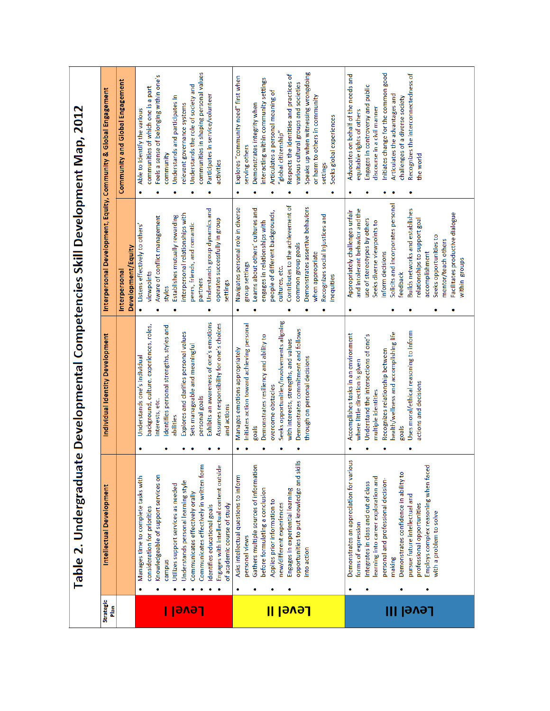Table 2. Undergraduate Developmental Competencies Skill Development Map, 2012

| ۰<br>۰<br>۰<br>۰ | Interpersonal Development, Equity, Community & Global Engagement<br>Individual Identity Development<br><b>Intellectual Development</b> | Community and Global Engagement<br>Development/Equity<br>Interpersonal | communities in shaping personal values<br>Feels a sense of belonging within one's<br>Understands the role of society and<br>communities of which one is a part<br>Participates in service/volunteer<br>Understands and participates in<br>relevant governance systems<br>Able to identify the various<br>community<br>activities<br>Understands group dynamics and<br>interpersonal relationships with<br>Establishes mutually rewarding<br>Aware of conflict management<br>operates successfully in group<br>peers, friends, and romantic<br>Listens effectively to others'<br>viewpoints<br>partners<br>settings<br>styles<br>۰<br>Exhibits an awareness of one's emotions<br>Assumes responsibility for one's choices<br>background, culture, experiences, roles,<br>Identifies personal strengths, styles and<br>Explores and clarifies personal values<br>Sets manageable and meaningful<br>Understands one's individual<br>personal goals<br>interests, etc.<br>and actions<br>abilities<br>۰<br>Communicates effectively in written form<br>Engages with intellectual content outsid<br>Knowledgeable of support services on<br>Manages time to complete tasks with<br>Understands personal learning style<br>Utilizes support services as needed<br>Communicates effectively orally<br>of academic course of study<br>Identifies educational goals<br>consideration for priorities<br>campus | Speaks up when witnessing wrongdoing<br>Respects the identities and practices of<br>Explores "community need" first when<br>interacting within community settings<br>various cultural groups and societies<br>Articulates a personal meaning of<br>or harm to others in community<br>Demonstrates integrity when<br>Seeks global experiences<br>"global citizenship"<br>serving others<br>settings<br>۰<br>Contributes to the achievement of<br>Demonstrates assertive behaviors<br>Navigates personal role in diverse<br>Learns about others' cultures and<br>people of different backgrounds,<br>Recognizes social injustices and<br>engages in relationships with<br>common group goals<br>when appropriate<br>group settings<br>cultures, etc.<br>inequities<br>Seeks opportunities/involvements aligning<br>Initiates action toward achieving personal<br>Demonstrates commitment and follows<br>Demonstrates resiliency and ability to<br>with interests, strengths, and values<br>Manages emotions appropriately<br>through on personal decisions<br>overcome obstacles<br>goals<br>opportunities to put knowledge and skills<br>Gathers multiple sources of information<br>Asks intellectual questions to inform<br>Engages in experiential learning<br>before formulating a conclusion<br>Applies prior information to<br>new/different experiences<br>personal views<br>into action | Initiates change for the common good<br>Recognizes the interconnectedness of<br>Advocates on behalf of the needs and<br>Engages in controversy and public<br>Articulates the advantages and<br>challenges of a diverse society<br>discourse in a civil manner<br>equitable rights of others<br>the world<br>Solicits and incorporates personal<br>Builds networks and establishes<br>and intolerant behavior and the<br>Appropriately challenges unfair<br>Facilitates productive dialogue<br>use of stereotypes by others<br>relationships to support goal<br>Seeks diverse viewpoints to<br>Seeks opportunities to<br>mentor/teach others<br>inform decisions<br>accomplishment<br>feedback<br>Uses moral/ethical reasoning to inform<br>health/wellness and accomplishing life<br>Accomplishes tasks in an environment<br>Understand the intersections of one's<br>Recognizes relationship between<br>where little direction is given<br>actions and decisions<br>multiple identities<br>goals<br>smc<br>Employs complex reasoning when faced<br>Demonstrates an appreciation for vario<br>Demonstrates confidence in ability to<br>earning into career exploration and<br>personal and professional decision-<br>Integrates in class and out of class<br>pursue future intellectual and<br>professional opportunities<br>with a problem to solve<br>forms of expression<br>making |
|------------------|----------------------------------------------------------------------------------------------------------------------------------------|------------------------------------------------------------------------|------------------------------------------------------------------------------------------------------------------------------------------------------------------------------------------------------------------------------------------------------------------------------------------------------------------------------------------------------------------------------------------------------------------------------------------------------------------------------------------------------------------------------------------------------------------------------------------------------------------------------------------------------------------------------------------------------------------------------------------------------------------------------------------------------------------------------------------------------------------------------------------------------------------------------------------------------------------------------------------------------------------------------------------------------------------------------------------------------------------------------------------------------------------------------------------------------------------------------------------------------------------------------------------------------------------------------------------------------------------------------------------------------|-----------------------------------------------------------------------------------------------------------------------------------------------------------------------------------------------------------------------------------------------------------------------------------------------------------------------------------------------------------------------------------------------------------------------------------------------------------------------------------------------------------------------------------------------------------------------------------------------------------------------------------------------------------------------------------------------------------------------------------------------------------------------------------------------------------------------------------------------------------------------------------------------------------------------------------------------------------------------------------------------------------------------------------------------------------------------------------------------------------------------------------------------------------------------------------------------------------------------------------------------------------------------------------------------------------------------------------------------------------------------------------------------|---------------------------------------------------------------------------------------------------------------------------------------------------------------------------------------------------------------------------------------------------------------------------------------------------------------------------------------------------------------------------------------------------------------------------------------------------------------------------------------------------------------------------------------------------------------------------------------------------------------------------------------------------------------------------------------------------------------------------------------------------------------------------------------------------------------------------------------------------------------------------------------------------------------------------------------------------------------------------------------------------------------------------------------------------------------------------------------------------------------------------------------------------------------------------------------------------------------------------------------------------------------------------------------------------------------------------------------------------------------------------------------|
|------------------|----------------------------------------------------------------------------------------------------------------------------------------|------------------------------------------------------------------------|------------------------------------------------------------------------------------------------------------------------------------------------------------------------------------------------------------------------------------------------------------------------------------------------------------------------------------------------------------------------------------------------------------------------------------------------------------------------------------------------------------------------------------------------------------------------------------------------------------------------------------------------------------------------------------------------------------------------------------------------------------------------------------------------------------------------------------------------------------------------------------------------------------------------------------------------------------------------------------------------------------------------------------------------------------------------------------------------------------------------------------------------------------------------------------------------------------------------------------------------------------------------------------------------------------------------------------------------------------------------------------------------------|-----------------------------------------------------------------------------------------------------------------------------------------------------------------------------------------------------------------------------------------------------------------------------------------------------------------------------------------------------------------------------------------------------------------------------------------------------------------------------------------------------------------------------------------------------------------------------------------------------------------------------------------------------------------------------------------------------------------------------------------------------------------------------------------------------------------------------------------------------------------------------------------------------------------------------------------------------------------------------------------------------------------------------------------------------------------------------------------------------------------------------------------------------------------------------------------------------------------------------------------------------------------------------------------------------------------------------------------------------------------------------------------------|---------------------------------------------------------------------------------------------------------------------------------------------------------------------------------------------------------------------------------------------------------------------------------------------------------------------------------------------------------------------------------------------------------------------------------------------------------------------------------------------------------------------------------------------------------------------------------------------------------------------------------------------------------------------------------------------------------------------------------------------------------------------------------------------------------------------------------------------------------------------------------------------------------------------------------------------------------------------------------------------------------------------------------------------------------------------------------------------------------------------------------------------------------------------------------------------------------------------------------------------------------------------------------------------------------------------------------------------------------------------------------------|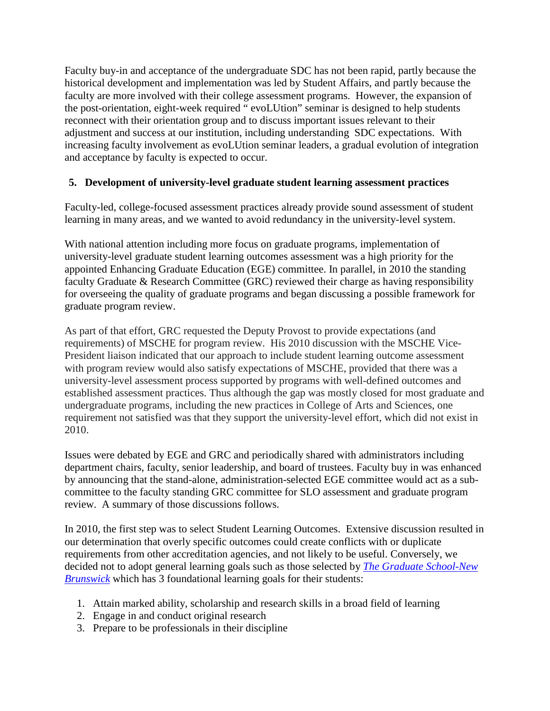Faculty buy-in and acceptance of the undergraduate SDC has not been rapid, partly because the historical development and implementation was led by Student Affairs, and partly because the faculty are more involved with their college assessment programs. However, the expansion of the post-orientation, eight-week required " evoLUtion" seminar is designed to help students reconnect with their orientation group and to discuss important issues relevant to their adjustment and success at our institution, including understanding SDC expectations. With increasing faculty involvement as evoLUtion seminar leaders, a gradual evolution of integration and acceptance by faculty is expected to occur.

## **5. Development of university-level graduate student learning assessment practices**

Faculty-led, college-focused assessment practices already provide sound assessment of student learning in many areas, and we wanted to avoid redundancy in the university-level system.

With national attention including more focus on graduate programs, implementation of university-level graduate student learning outcomes assessment was a high priority for the appointed Enhancing Graduate Education (EGE) committee. In parallel, in 2010 the standing faculty Graduate & Research Committee (GRC) reviewed their charge as having responsibility for overseeing the quality of graduate programs and began discussing a possible framework for graduate program review.

As part of that effort, GRC requested the Deputy Provost to provide expectations (and requirements) of MSCHE for program review. His 2010 discussion with the MSCHE Vice-President liaison indicated that our approach to include student learning outcome assessment with program review would also satisfy expectations of MSCHE, provided that there was a university-level assessment process supported by programs with well-defined outcomes and established assessment practices. Thus although the gap was mostly closed for most graduate and undergraduate programs, including the new practices in College of Arts and Sciences, one requirement not satisfied was that they support the university-level effort, which did not exist in 2010.

Issues were debated by EGE and GRC and periodically shared with administrators including department chairs, faculty, senior leadership, and board of trustees. Faculty buy in was enhanced by announcing that the stand-alone, administration-selected EGE committee would act as a subcommittee to the faculty standing GRC committee for SLO assessment and graduate program review. A summary of those discussions follows.

In 2010, the first step was to select Student Learning Outcomes. Extensive discussion resulted in our determination that overly specific outcomes could create conflicts with or duplicate requirements from other accreditation agencies, and not likely to be useful. Conversely, we decided not to adopt general learning goals such as those selected by *[The Graduate School-New](http://gsnb.rutgers.edu/faculty/phd_goals.pdf)  [Brunswick](http://gsnb.rutgers.edu/faculty/phd_goals.pdf)* which has 3 foundational learning goals for their students:

- 1. Attain marked ability, scholarship and research skills in a broad field of learning
- 2. Engage in and conduct original research
- 3. Prepare to be professionals in their discipline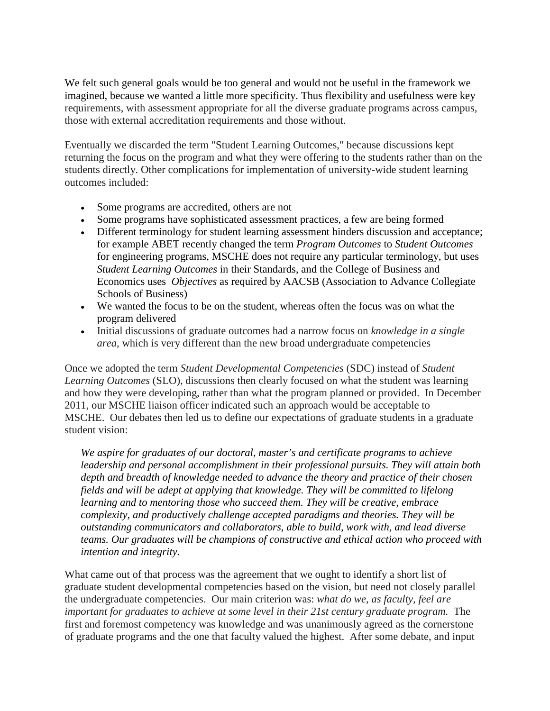We felt such general goals would be too general and would not be useful in the framework we imagined, because we wanted a little more specificity. Thus flexibility and usefulness were key requirements, with assessment appropriate for all the diverse graduate programs across campus, those with external accreditation requirements and those without.

Eventually we discarded the term "Student Learning Outcomes," because discussions kept returning the focus on the program and what they were offering to the students rather than on the students directly. Other complications for implementation of university-wide student learning outcomes included:

- Some programs are accredited, others are not
- Some programs have sophisticated assessment practices, a few are being formed
- Different terminology for student learning assessment hinders discussion and acceptance; for example ABET recently changed the term *Program Outcomes* to *Student Outcomes* for engineering programs, MSCHE does not require any particular terminology, but uses *Student Learning Outcomes* in their Standards, and the College of Business and Economics uses *Objectives* as required by AACSB (Association to Advance Collegiate Schools of Business)
- We wanted the focus to be on the student, whereas often the focus was on what the program delivered
- Initial discussions of graduate outcomes had a narrow focus on *knowledge in a single area*, which is very different than the new broad undergraduate competencies

Once we adopted the term *Student Developmental Competencies* (SDC) instead of *Student Learning Outcomes* (SLO), discussions then clearly focused on what the student was learning and how they were developing, rather than what the program planned or provided. In December 2011, our MSCHE liaison officer indicated such an approach would be acceptable to MSCHE. Our debates then led us to define our expectations of graduate students in a graduate student vision:

*We aspire for graduates of our doctoral, master's and certificate programs to achieve leadership and personal accomplishment in their professional pursuits. They will attain both depth and breadth of knowledge needed to advance the theory and practice of their chosen fields and will be adept at applying that knowledge. They will be committed to lifelong learning and to mentoring those who succeed them. They will be creative, embrace complexity, and productively challenge accepted paradigms and theories. They will be outstanding communicators and collaborators, able to build, work with, and lead diverse teams. Our graduates will be champions of constructive and ethical action who proceed with intention and integrity.*

What came out of that process was the agreement that we ought to identify a short list of graduate student developmental competencies based on the vision, but need not closely parallel the undergraduate competencies. Our main criterion was: *what do we, as faculty, feel are important for graduates to achieve at some level in their 21st century graduate program.* The first and foremost competency was knowledge and was unanimously agreed as the cornerstone of graduate programs and the one that faculty valued the highest. After some debate, and input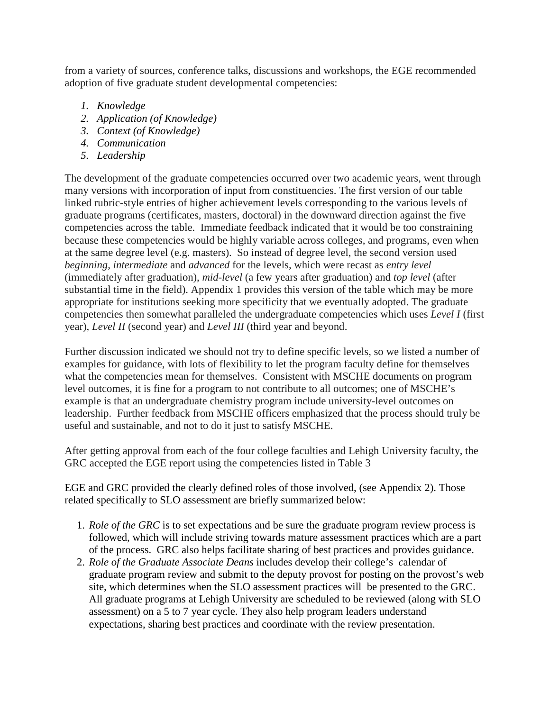from a variety of sources, conference talks, discussions and workshops, the EGE recommended adoption of five graduate student developmental competencies:

- *1. Knowledge*
- *2. Application (of Knowledge)*
- *3. Context (of Knowledge)*
- *4. Communication*
- *5. Leadership*

The development of the graduate competencies occurred over two academic years, went through many versions with incorporation of input from constituencies. The first version of our table linked rubric-style entries of higher achievement levels corresponding to the various levels of graduate programs (certificates, masters, doctoral) in the downward direction against the five competencies across the table. Immediate feedback indicated that it would be too constraining because these competencies would be highly variable across colleges, and programs, even when at the same degree level (e.g. masters). So instead of degree level, the second version used *beginning*, *intermediate* and *advanced* for the levels, which were recast as *entry level* (immediately after graduation), *mid-level* (a few years after graduation) and *top level* (after substantial time in the field). Appendix 1 provides this version of the table which may be more appropriate for institutions seeking more specificity that we eventually adopted. The graduate competencies then somewhat paralleled the undergraduate competencies which uses *Level I* (first year), *Level II* (second year) and *Level III* (third year and beyond.

Further discussion indicated we should not try to define specific levels, so we listed a number of examples for guidance, with lots of flexibility to let the program faculty define for themselves what the competencies mean for themselves. Consistent with MSCHE documents on program level outcomes, it is fine for a program to not contribute to all outcomes; one of MSCHE's example is that an undergraduate chemistry program include university-level outcomes on leadership. Further feedback from MSCHE officers emphasized that the process should truly be useful and sustainable, and not to do it just to satisfy MSCHE.

After getting approval from each of the four college faculties and Lehigh University faculty, the GRC accepted the EGE report using the competencies listed in Table 3

EGE and GRC provided the clearly defined roles of those involved, (see Appendix 2). Those related specifically to SLO assessment are briefly summarized below:

- 1. *Role of the GRC* is to set expectations and be sure the graduate program review process is followed, which will include striving towards mature assessment practices which are a part of the process. GRC also helps facilitate sharing of best practices and provides guidance.
- 2. *Role of the Graduate Associate Deans* includes develop their college's *c*alendar of graduate program review and submit to the deputy provost for posting on the provost's web site, which determines when the SLO assessment practices will be presented to the GRC. All graduate programs at Lehigh University are scheduled to be reviewed (along with SLO assessment) on a 5 to 7 year cycle. They also help program leaders understand expectations, sharing best practices and coordinate with the review presentation.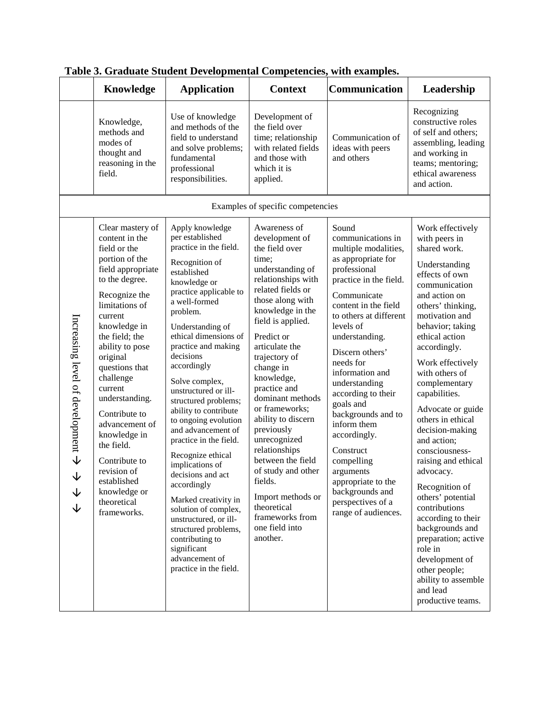|                                                                    | Knowledge                                                                                                                                                                                                                                                                                                                                                                                                                                            | таріс э. Отабайс эндісін деусібрінінан сопірсіснісіся, міш слані<br><b>Application</b>                                                                                                                                                                                                                                                                                                                                                                                                                                                                                                                                                                                                             | <b>Context</b>                                                                                                                                                                                                                                                                                                                                                                                                                                                                                                                          | Communication                                                                                                                                                                                                                                                                                                                                                                                                                                                                                               | Leadership                                                                                                                                                                                                                                                                                                                                                                                                                                                                                                                                                                                                                                                  |
|--------------------------------------------------------------------|------------------------------------------------------------------------------------------------------------------------------------------------------------------------------------------------------------------------------------------------------------------------------------------------------------------------------------------------------------------------------------------------------------------------------------------------------|----------------------------------------------------------------------------------------------------------------------------------------------------------------------------------------------------------------------------------------------------------------------------------------------------------------------------------------------------------------------------------------------------------------------------------------------------------------------------------------------------------------------------------------------------------------------------------------------------------------------------------------------------------------------------------------------------|-----------------------------------------------------------------------------------------------------------------------------------------------------------------------------------------------------------------------------------------------------------------------------------------------------------------------------------------------------------------------------------------------------------------------------------------------------------------------------------------------------------------------------------------|-------------------------------------------------------------------------------------------------------------------------------------------------------------------------------------------------------------------------------------------------------------------------------------------------------------------------------------------------------------------------------------------------------------------------------------------------------------------------------------------------------------|-------------------------------------------------------------------------------------------------------------------------------------------------------------------------------------------------------------------------------------------------------------------------------------------------------------------------------------------------------------------------------------------------------------------------------------------------------------------------------------------------------------------------------------------------------------------------------------------------------------------------------------------------------------|
|                                                                    | Knowledge,<br>methods and<br>modes of<br>thought and<br>reasoning in the<br>field.                                                                                                                                                                                                                                                                                                                                                                   | Use of knowledge<br>and methods of the<br>field to understand<br>and solve problems;<br>fundamental<br>professional<br>responsibilities.                                                                                                                                                                                                                                                                                                                                                                                                                                                                                                                                                           | Development of<br>the field over<br>time; relationship<br>with related fields<br>and those with<br>which it is<br>applied.                                                                                                                                                                                                                                                                                                                                                                                                              | Communication of<br>ideas with peers<br>and others                                                                                                                                                                                                                                                                                                                                                                                                                                                          | Recognizing<br>constructive roles<br>of self and others;<br>assembling, leading<br>and working in<br>teams; mentoring;<br>ethical awareness<br>and action.                                                                                                                                                                                                                                                                                                                                                                                                                                                                                                  |
|                                                                    |                                                                                                                                                                                                                                                                                                                                                                                                                                                      |                                                                                                                                                                                                                                                                                                                                                                                                                                                                                                                                                                                                                                                                                                    | Examples of specific competencies                                                                                                                                                                                                                                                                                                                                                                                                                                                                                                       |                                                                                                                                                                                                                                                                                                                                                                                                                                                                                                             |                                                                                                                                                                                                                                                                                                                                                                                                                                                                                                                                                                                                                                                             |
| Increasing level of development $\rightarrow$<br>$\downarrow$<br>↓ | Clear mastery of<br>content in the<br>field or the<br>portion of the<br>field appropriate<br>to the degree.<br>Recognize the<br>limitations of<br>current<br>knowledge in<br>the field; the<br>ability to pose<br>original<br>questions that<br>challenge<br>current<br>understanding.<br>Contribute to<br>advancement of<br>knowledge in<br>the field.<br>Contribute to<br>revision of<br>established<br>knowledge or<br>theoretical<br>frameworks. | Apply knowledge<br>per established<br>practice in the field.<br>Recognition of<br>established<br>knowledge or<br>practice applicable to<br>a well-formed<br>problem.<br>Understanding of<br>ethical dimensions of<br>practice and making<br>decisions<br>accordingly<br>Solve complex,<br>unstructured or ill-<br>structured problems;<br>ability to contribute<br>to ongoing evolution<br>and advancement of<br>practice in the field.<br>Recognize ethical<br>implications of<br>decisions and act<br>accordingly<br>Marked creativity in<br>solution of complex,<br>unstructured, or ill-<br>structured problems,<br>contributing to<br>significant<br>advancement of<br>practice in the field. | Awareness of<br>development of<br>the field over<br>time;<br>understanding of<br>relationships with<br>related fields or<br>those along with<br>knowledge in the<br>field is applied.<br>Predict or<br>articulate the<br>trajectory of<br>change in<br>knowledge,<br>practice and<br>dominant methods<br>or frameworks;<br>ability to discern<br>previously<br>unrecognized<br>relationships<br>between the field<br>of study and other<br>fields.<br>Import methods or<br>theoretical<br>frameworks from<br>one field into<br>another. | Sound<br>communications in<br>multiple modalities,<br>as appropriate for<br>professional<br>practice in the field.<br>Communicate<br>content in the field<br>to others at different<br>levels of<br>understanding.<br>Discern others'<br>needs for<br>information and<br>understanding<br>according to their<br>goals and<br>backgrounds and to<br>inform them<br>accordingly.<br>Construct<br>compelling<br>arguments<br>appropriate to the<br>backgrounds and<br>perspectives of a<br>range of audiences. | Work effectively<br>with peers in<br>shared work.<br>Understanding<br>effects of own<br>communication<br>and action on<br>others' thinking,<br>motivation and<br>behavior; taking<br>ethical action<br>accordingly.<br>Work effectively<br>with others of<br>complementary<br>capabilities.<br>Advocate or guide<br>others in ethical<br>decision-making<br>and action;<br>consciousness-<br>raising and ethical<br>advocacy.<br>Recognition of<br>others' potential<br>contributions<br>according to their<br>backgrounds and<br>preparation; active<br>role in<br>development of<br>other people;<br>ability to assemble<br>and lead<br>productive teams. |

**Table 3. Graduate Student Developmental Competencies, with examples.**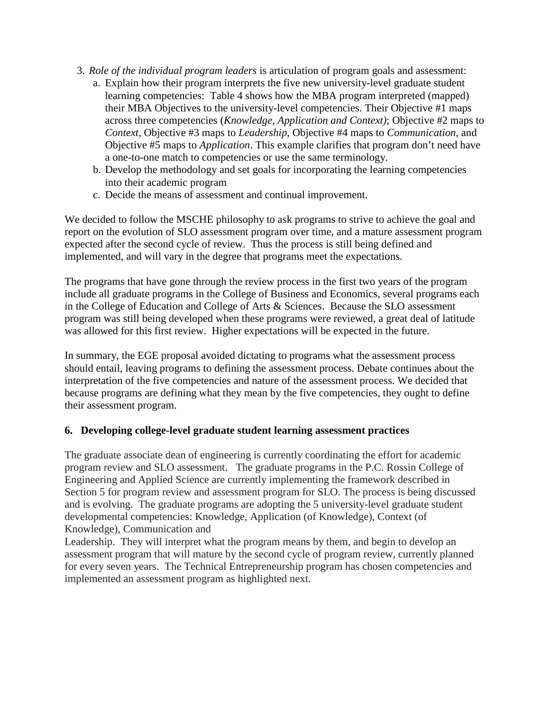- 3. *Role of the individual program leaders* is articulation of program goals and assessment:
	- a. Explain how their program interprets the five new university-level graduate student learning competencies: Table 4 shows how the MBA program interpreted (mapped) their MBA Objectives to the university-level competencies. Their Objective #1 maps across three competencies (*Knowledge, Application and Context)*; Objective #2 maps to *Context*, Objective #3 maps to *Leadership*, Objective #4 maps to *Communication*, and Objective #5 maps to *Application*. This example clarifies that program don't need have a one-to-one match to competencies or use the same terminology.
	- b. Develop the methodology and set goals for incorporating the learning competencies into their academic program
	- c. Decide the means of assessment and continual improvement.

We decided to follow the MSCHE philosophy to ask programs to strive to achieve the goal and report on the evolution of SLO assessment program over time, and a mature assessment program expected after the second cycle of review. Thus the process is still being defined and implemented, and will vary in the degree that programs meet the expectations.

The programs that have gone through the review process in the first two years of the program include all graduate programs in the College of Business and Economics, several programs each in the College of Education and College of Arts & Sciences. Because the SLO assessment program was still being developed when these programs were reviewed, a great deal of latitude was allowed for this first review. Higher expectations will be expected in the future.

In summary, the EGE proposal avoided dictating to programs what the assessment process should entail, leaving programs to defining the assessment process. Debate continues about the interpretation of the five competencies and nature of the assessment process. We decided that because programs are defining what they mean by the five competencies, they ought to define their assessment program.

## **6. Developing college-level graduate student learning assessment practices**

The graduate associate dean of engineering is currently coordinating the effort for academic program review and SLO assessment. The graduate programs in the P.C. Rossin College of Engineering and Applied Science are currently implementing the framework described in Section 5 for program review and assessment program for SLO. The process is being discussed and is evolving. The graduate programs are adopting the 5 university-level graduate student developmental competencies: Knowledge, Application (of Knowledge), Context (of Knowledge), Communication and

Leadership. They will interpret what the program means by them, and begin to develop an assessment program that will mature by the second cycle of program review, currently planned for every seven years. The Technical Entrepreneurship program has chosen competencies and implemented an assessment program as highlighted next.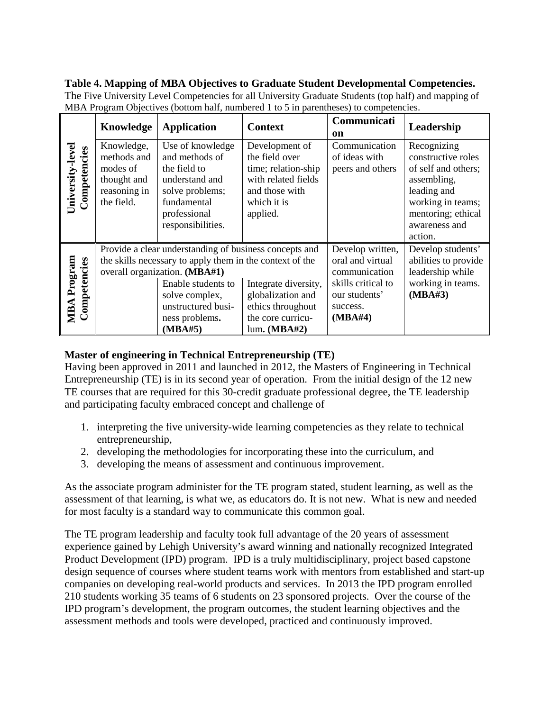## **Table 4. Mapping of MBA Objectives to Graduate Student Developmental Competencies.**

|                                    | Knowledge                                                                          | <b>Application</b>                                                                                                                                                                                                                             | <b>Context</b>                                                                                                              | Communicati<br>on                                                                                                   | Leadership                                                                                                                                                    |
|------------------------------------|------------------------------------------------------------------------------------|------------------------------------------------------------------------------------------------------------------------------------------------------------------------------------------------------------------------------------------------|-----------------------------------------------------------------------------------------------------------------------------|---------------------------------------------------------------------------------------------------------------------|---------------------------------------------------------------------------------------------------------------------------------------------------------------|
| University-level<br>Competencies   | Knowledge,<br>methods and<br>modes of<br>thought and<br>reasoning in<br>the field. | Use of knowledge<br>and methods of<br>the field to<br>understand and<br>solve problems;<br>fundamental<br>professional<br>responsibilities.                                                                                                    | Development of<br>the field over<br>time; relation-ship<br>with related fields<br>and those with<br>which it is<br>applied. | Communication<br>of ideas with<br>peers and others                                                                  | Recognizing<br>constructive roles<br>of self and others;<br>assembling,<br>leading and<br>working in teams;<br>mentoring; ethical<br>awareness and<br>action. |
| <b>MBA Program</b><br>Competencies |                                                                                    | Provide a clear understanding of business concepts and<br>the skills necessary to apply them in the context of the<br>overall organization. (MBA#1)<br>Enable students to<br>solve complex,<br>unstructured busi-<br>ness problems.<br>(MBA#5) | Integrate diversity,<br>globalization and<br>ethics throughout<br>the core curricu-<br>lum. (MBA#2)                         | Develop written,<br>oral and virtual<br>communication<br>skills critical to<br>our students'<br>success.<br>(MBA#4) | Develop students'<br>abilities to provide<br>leadership while<br>working in teams.<br>(MBA#3)                                                                 |

The Five University Level Competencies for all University Graduate Students (top half) and mapping of MBA Program Objectives (bottom half, numbered 1 to 5 in parentheses) to competencies.

# **Master of engineering in Technical Entrepreneurship (TE)**

Having been approved in 2011 and launched in 2012, the Masters of Engineering in Technical Entrepreneurship (TE) is in its second year of operation. From the initial design of the 12 new TE courses that are required for this 30-credit graduate professional degree, the TE leadership and participating faculty embraced concept and challenge of

- 1. interpreting the five university-wide learning competencies as they relate to technical entrepreneurship,
- 2. developing the methodologies for incorporating these into the curriculum, and
- 3. developing the means of assessment and continuous improvement.

As the associate program administer for the TE program stated, student learning, as well as the assessment of that learning, is what we, as educators do. It is not new. What is new and needed for most faculty is a standard way to communicate this common goal.

The TE program leadership and faculty took full advantage of the 20 years of assessment experience gained by Lehigh University's award winning and nationally recognized Integrated Product Development (IPD) program. IPD is a truly multidisciplinary, project based capstone design sequence of courses where student teams work with mentors from established and start-up companies on developing real-world products and services. In 2013 the IPD program enrolled 210 students working 35 teams of 6 students on 23 sponsored projects. Over the course of the IPD program's development, the program outcomes, the student learning objectives and the assessment methods and tools were developed, practiced and continuously improved.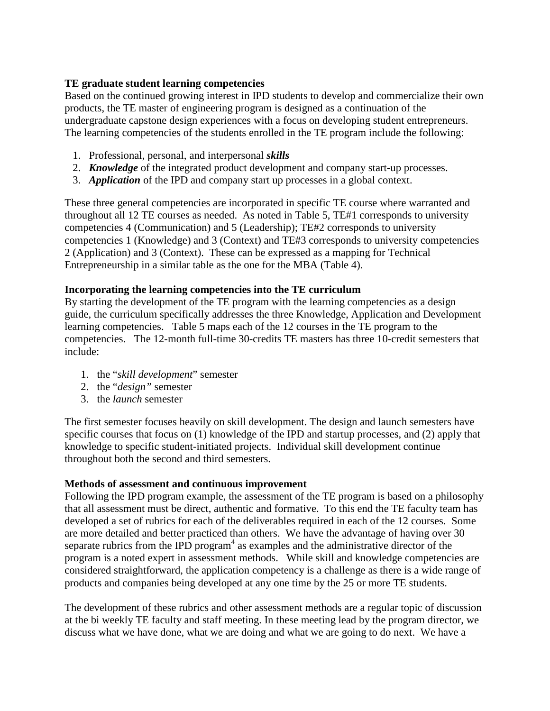#### **TE graduate student learning competencies**

Based on the continued growing interest in IPD students to develop and commercialize their own products, the TE master of engineering program is designed as a continuation of the undergraduate capstone design experiences with a focus on developing student entrepreneurs. The learning competencies of the students enrolled in the TE program include the following:

- 1. Professional, personal, and interpersonal *skills*
- 2. *Knowledge* of the integrated product development and company start-up processes.
- 3. *Application* of the IPD and company start up processes in a global context.

These three general competencies are incorporated in specific TE course where warranted and throughout all 12 TE courses as needed. As noted in Table 5, TE#1 corresponds to university competencies 4 (Communication) and 5 (Leadership); TE#2 corresponds to university competencies 1 (Knowledge) and 3 (Context) and TE#3 corresponds to university competencies 2 (Application) and 3 (Context). These can be expressed as a mapping for Technical Entrepreneurship in a similar table as the one for the MBA (Table 4).

## **Incorporating the learning competencies into the TE curriculum**

By starting the development of the TE program with the learning competencies as a design guide, the curriculum specifically addresses the three Knowledge, Application and Development learning competencies. Table 5 maps each of the 12 courses in the TE program to the competencies. The 12-month full-time 30-credits TE masters has three 10-credit semesters that include:

- 1. the "*skill development*" semester
- 2. the "*design"* semester
- 3. the *launch* semester

The first semester focuses heavily on skill development. The design and launch semesters have specific courses that focus on (1) knowledge of the IPD and startup processes, and (2) apply that knowledge to specific student-initiated projects. Individual skill development continue throughout both the second and third semesters.

## **Methods of assessment and continuous improvement**

Following the IPD program example, the assessment of the TE program is based on a philosophy that all assessment must be direct, authentic and formative. To this end the TE faculty team has developed a set of rubrics for each of the deliverables required in each of the 12 courses. Some are more detailed and better practiced than others. We have the advantage of having over 30 separate rubrics from the IPD program<sup>4</sup> as examples and the administrative director of the program is a noted expert in assessment methods. While skill and knowledge competencies are considered straightforward, the application competency is a challenge as there is a wide range of products and companies being developed at any one time by the 25 or more TE students.

The development of these rubrics and other assessment methods are a regular topic of discussion at the bi weekly TE faculty and staff meeting. In these meeting lead by the program director, we discuss what we have done, what we are doing and what we are going to do next. We have a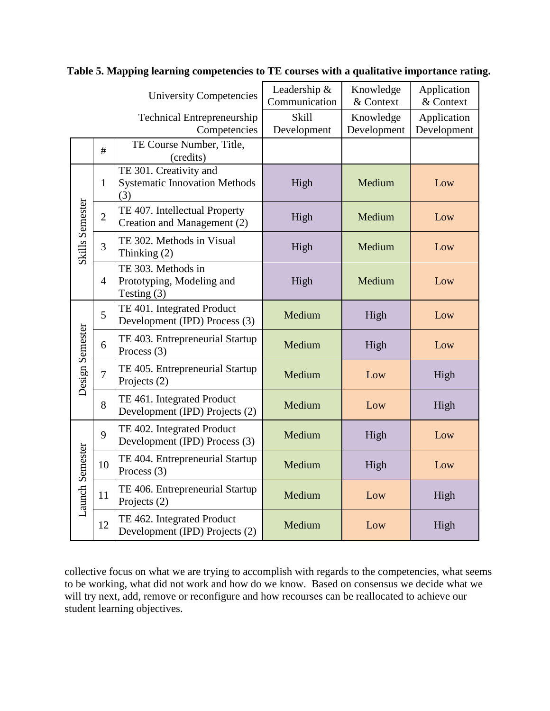|                                                   |                | <b>University Competencies</b>                                        | Leadership &<br>Communication | Knowledge<br>& Context   | Application<br>& Context   |  |
|---------------------------------------------------|----------------|-----------------------------------------------------------------------|-------------------------------|--------------------------|----------------------------|--|
| <b>Technical Entrepreneurship</b><br>Competencies |                |                                                                       | Skill<br>Development          | Knowledge<br>Development | Application<br>Development |  |
|                                                   | #              | TE Course Number, Title,<br>(credits)                                 |                               |                          |                            |  |
|                                                   | $\mathbf{1}$   | TE 301. Creativity and<br><b>Systematic Innovation Methods</b><br>(3) | High                          | Medium                   | Low                        |  |
| Skills Semester                                   | $\overline{2}$ | TE 407. Intellectual Property<br>Creation and Management (2)          | High                          | Medium                   | Low                        |  |
|                                                   | 3              | TE 302. Methods in Visual<br>Thinking (2)                             | High                          | Medium                   | Low                        |  |
|                                                   | $\overline{4}$ | TE 303. Methods in<br>Prototyping, Modeling and<br>Testing $(3)$      | High                          | Medium                   | Low                        |  |
| Design Semester                                   | 5              | TE 401. Integrated Product<br>Development (IPD) Process (3)           | Medium                        | High                     | Low                        |  |
|                                                   | 6              | TE 403. Entrepreneurial Startup<br>Process $(3)$                      | Medium                        | High                     | Low                        |  |
|                                                   | $\overline{7}$ | TE 405. Entrepreneurial Startup<br>Projects (2)                       | Medium                        | Low                      | High                       |  |
|                                                   | 8              | TE 461. Integrated Product<br>Development (IPD) Projects (2)          | Medium                        | Low                      | High                       |  |
| <b>Launch Semester</b>                            | 9              | TE 402. Integrated Product<br>Development (IPD) Process (3)           | Medium                        | High                     | Low                        |  |
|                                                   | 10             | TE 404. Entrepreneurial Startup<br>Process $(3)$                      | Medium                        | High                     | Low                        |  |
|                                                   | 11             | TE 406. Entrepreneurial Startup<br>Projects (2)                       | Medium                        | Low                      | High                       |  |
|                                                   | 12             | TE 462. Integrated Product<br>Development (IPD) Projects (2)          | Medium                        | Low                      | High                       |  |

**Table 5. Mapping learning competencies to TE courses with a qualitative importance rating.**

collective focus on what we are trying to accomplish with regards to the competencies, what seems to be working, what did not work and how do we know. Based on consensus we decide what we will try next, add, remove or reconfigure and how recourses can be reallocated to achieve our student learning objectives.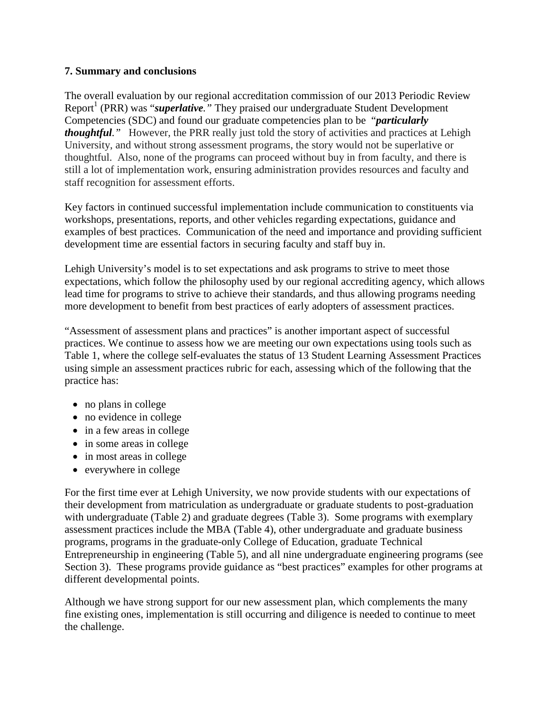#### **7. Summary and conclusions**

The overall evaluation by our regional accreditation commission of our 2013 Periodic Review Report<sup>1</sup> (PRR) was "*superlative*." They praised our undergraduate Student Development Competencies (SDC) and found our graduate competencies plan to be "*particularly thoughtful."* However, the PRR really just told the story of activities and practices at Lehigh University, and without strong assessment programs, the story would not be superlative or thoughtful. Also, none of the programs can proceed without buy in from faculty, and there is still a lot of implementation work, ensuring administration provides resources and faculty and staff recognition for assessment efforts.

Key factors in continued successful implementation include communication to constituents via workshops, presentations, reports, and other vehicles regarding expectations, guidance and examples of best practices. Communication of the need and importance and providing sufficient development time are essential factors in securing faculty and staff buy in.

Lehigh University's model is to set expectations and ask programs to strive to meet those expectations, which follow the philosophy used by our regional accrediting agency, which allows lead time for programs to strive to achieve their standards, and thus allowing programs needing more development to benefit from best practices of early adopters of assessment practices.

"Assessment of assessment plans and practices" is another important aspect of successful practices. We continue to assess how we are meeting our own expectations using tools such as Table 1, where the college self-evaluates the status of 13 Student Learning Assessment Practices using simple an assessment practices rubric for each, assessing which of the following that the practice has:

- no plans in college
- no evidence in college
- in a few areas in college
- in some areas in college
- in most areas in college
- everywhere in college

For the first time ever at Lehigh University, we now provide students with our expectations of their development from matriculation as undergraduate or graduate students to post-graduation with undergraduate (Table 2) and graduate degrees (Table 3). Some programs with exemplary assessment practices include the MBA (Table 4), other undergraduate and graduate business programs, programs in the graduate-only College of Education, graduate Technical Entrepreneurship in engineering (Table 5), and all nine undergraduate engineering programs (see Section 3). These programs provide guidance as "best practices" examples for other programs at different developmental points.

Although we have strong support for our new assessment plan, which complements the many fine existing ones, implementation is still occurring and diligence is needed to continue to meet the challenge.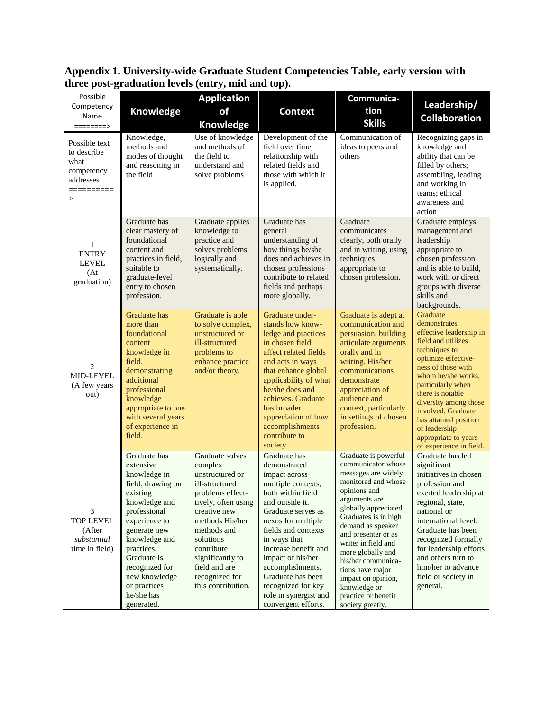**Appendix 1. University-wide Graduate Student Competencies Table, early version with three post-graduation levels (entry, mid and top).**

| Possible<br>Competency                                                             | Knowledge                                                                                                                                                                                                                                                                 | <b>Application</b><br>of                                                                                                                                                                                                                                             | <b>Context</b>                                                                                                                                                                                                                                                                                                                                             | Communica-<br>tion                                                                                                                                                                                                                                                                                                                                                                            | Leadership/                                                                                                                                                                                                                                                                                                                                        |
|------------------------------------------------------------------------------------|---------------------------------------------------------------------------------------------------------------------------------------------------------------------------------------------------------------------------------------------------------------------------|----------------------------------------------------------------------------------------------------------------------------------------------------------------------------------------------------------------------------------------------------------------------|------------------------------------------------------------------------------------------------------------------------------------------------------------------------------------------------------------------------------------------------------------------------------------------------------------------------------------------------------------|-----------------------------------------------------------------------------------------------------------------------------------------------------------------------------------------------------------------------------------------------------------------------------------------------------------------------------------------------------------------------------------------------|----------------------------------------------------------------------------------------------------------------------------------------------------------------------------------------------------------------------------------------------------------------------------------------------------------------------------------------------------|
| Name<br>========>                                                                  |                                                                                                                                                                                                                                                                           | Knowledge                                                                                                                                                                                                                                                            |                                                                                                                                                                                                                                                                                                                                                            | <b>Skills</b>                                                                                                                                                                                                                                                                                                                                                                                 | <b>Collaboration</b>                                                                                                                                                                                                                                                                                                                               |
| Possible text<br>to describe<br>what<br>competency<br>addresses<br>==========<br>> | Knowledge,<br>methods and<br>modes of thought<br>and reasoning in<br>the field                                                                                                                                                                                            | Use of knowledge<br>and methods of<br>the field to<br>understand and<br>solve problems                                                                                                                                                                               | Development of the<br>field over time;<br>relationship with<br>related fields and<br>those with which it<br>is applied.                                                                                                                                                                                                                                    | Communication of<br>ideas to peers and<br>others                                                                                                                                                                                                                                                                                                                                              | Recognizing gaps in<br>knowledge and<br>ability that can be<br>filled by others;<br>assembling, leading<br>and working in<br>teams; ethical<br>awareness and<br>action                                                                                                                                                                             |
| 1<br><b>ENTRY</b><br><b>LEVEL</b><br>(At)<br>graduation)                           | Graduate has<br>clear mastery of<br>foundational<br>content and<br>practices in field,<br>suitable to<br>graduate-level<br>entry to chosen<br>profession.                                                                                                                 | Graduate applies<br>knowledge to<br>practice and<br>solves problems<br>logically and<br>systematically.                                                                                                                                                              | Graduate has<br>general<br>understanding of<br>how things he/she<br>does and achieves in<br>chosen professions<br>contribute to related<br>fields and perhaps<br>more globally.                                                                                                                                                                            | Graduate<br>communicates<br>clearly, both orally<br>and in writing, using<br>techniques<br>appropriate to<br>chosen profession.                                                                                                                                                                                                                                                               | Graduate employs<br>management and<br>leadership<br>appropriate to<br>chosen profession<br>and is able to build.<br>work with or direct<br>groups with diverse<br>skills and<br>backgrounds.                                                                                                                                                       |
| $\overline{2}$<br>MID-LEVEL<br>(A few years<br>out)                                | Graduate has<br>more than<br>foundational<br>content<br>knowledge in<br>field,<br>demonstrating<br>additional<br>professional<br>knowledge<br>appropriate to one<br>with several years<br>of experience in<br>field.                                                      | Graduate is able<br>to solve complex,<br>unstructured or<br>ill-structured<br>problems to<br>enhance practice<br>and/or theory.                                                                                                                                      | Graduate under-<br>stands how know-<br>ledge and practices<br>in chosen field<br>affect related fields<br>and acts in ways<br>that enhance global<br>applicability of what<br>he/she does and<br>achieves. Graduate<br>has broader<br>appreciation of how<br>accomplishments<br>contribute to<br>society.                                                  | Graduate is adept at<br>communication and<br>persuasion, building<br>articulate arguments<br>orally and in<br>writing. His/her<br>communications<br>demonstrate<br>appreciation of<br>audience and<br>context, particularly<br>in settings of chosen<br>profession.                                                                                                                           | Graduate<br>demonstrates<br>effective leadership in<br>field and utilizes<br>techniques to<br>optimize effective-<br>ness of those with<br>whom he/she works,<br>particularly when<br>there is notable<br>diversity among those<br>involved. Graduate<br>has attained position<br>of leadership<br>appropriate to years<br>of experience in field. |
| 3<br><b>TOP LEVEL</b><br>(After<br>substantial<br>time in field)                   | Graduate has<br>extensive<br>knowledge in<br>field, drawing on<br>existing<br>knowledge and<br>professional<br>experience to<br>generate new<br>knowledge and<br>practices.<br>Graduate is<br>recognized for<br>new knowledge<br>or practices<br>he/she has<br>generated. | Graduate solves<br>complex<br>unstructured or<br>ill-structured<br>problems effect-<br>tively, often using<br>creative new<br>methods His/her<br>methods and<br>solutions<br>contribute<br>significantly to<br>field and are<br>recognized for<br>this contribution. | Graduate has<br>demonstrated<br>impact across<br>multiple contexts,<br>both within field<br>and outside it.<br>Graduate serves as<br>nexus for multiple<br>fields and contexts<br>in ways that<br>increase benefit and<br>impact of his/her<br>accomplishments.<br>Graduate has been<br>recognized for key<br>role in synergist and<br>convergent efforts. | Graduate is powerful<br>communicator whose<br>messages are widely<br>monitored and whose<br>opinions and<br>arguments are<br>globally appreciated.<br>Graduates is in high<br>demand as speaker<br>and presenter or as<br>writer in field and<br>more globally and<br>his/her communica-<br>tions have major<br>impact on opinion,<br>knowledge or<br>practice or benefit<br>society greatly. | Graduate has led<br>significant<br>initiatives in chosen<br>profession and<br>exerted leadership at<br>regional, state,<br>national or<br>international level.<br>Graduate has been<br>recognized formally<br>for leadership efforts<br>and others turn to<br>him/her to advance<br>field or society in<br>general.                                |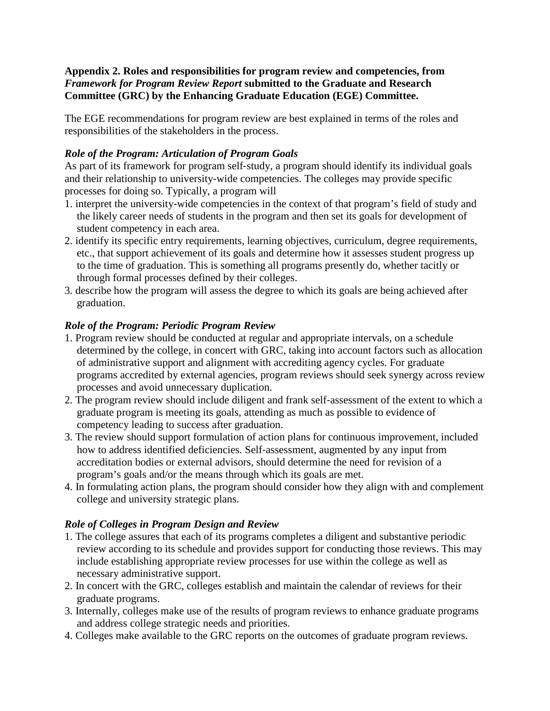**Appendix 2. Roles and responsibilities for program review and competencies, from**  *Framework for Program Review Report* **submitted to the Graduate and Research Committee (GRC) by the Enhancing Graduate Education (EGE) Committee.**

The EGE recommendations for program review are best explained in terms of the roles and responsibilities of the stakeholders in the process.

# *Role of the Program: Articulation of Program Goals*

As part of its framework for program self‐study, a program should identify its individual goals and their relationship to university‐wide competencies. The colleges may provide specific processes for doing so. Typically, a program will

- 1. interpret the university‐wide competencies in the context of that program's field of study and the likely career needs of students in the program and then set its goals for development of student competency in each area.
- 2. identify its specific entry requirements, learning objectives, curriculum, degree requirements, etc., that support achievement of its goals and determine how it assesses student progress up to the time of graduation. This is something all programs presently do, whether tacitly or through formal processes defined by their colleges.
- 3. describe how the program will assess the degree to which its goals are being achieved after graduation.

# *Role of the Program: Periodic Program Review*

- 1. Program review should be conducted at regular and appropriate intervals, on a schedule determined by the college, in concert with GRC, taking into account factors such as allocation of administrative support and alignment with accrediting agency cycles. For graduate programs accredited by external agencies, program reviews should seek synergy across review processes and avoid unnecessary duplication.
- 2. The program review should include diligent and frank self‐assessment of the extent to which a graduate program is meeting its goals, attending as much as possible to evidence of competency leading to success after graduation.
- 3. The review should support formulation of action plans for continuous improvement, included how to address identified deficiencies. Self‐assessment, augmented by any input from accreditation bodies or external advisors, should determine the need for revision of a program's goals and/or the means through which its goals are met.
- 4. In formulating action plans, the program should consider how they align with and complement college and university strategic plans.

# *Role of Colleges in Program Design and Review*

- 1. The college assures that each of its programs completes a diligent and substantive periodic review according to its schedule and provides support for conducting those reviews. This may include establishing appropriate review processes for use within the college as well as necessary administrative support.
- 2. In concert with the GRC, colleges establish and maintain the calendar of reviews for their graduate programs.
- 3. Internally, colleges make use of the results of program reviews to enhance graduate programs and address college strategic needs and priorities.
- 4. Colleges make available to the GRC reports on the outcomes of graduate program reviews.